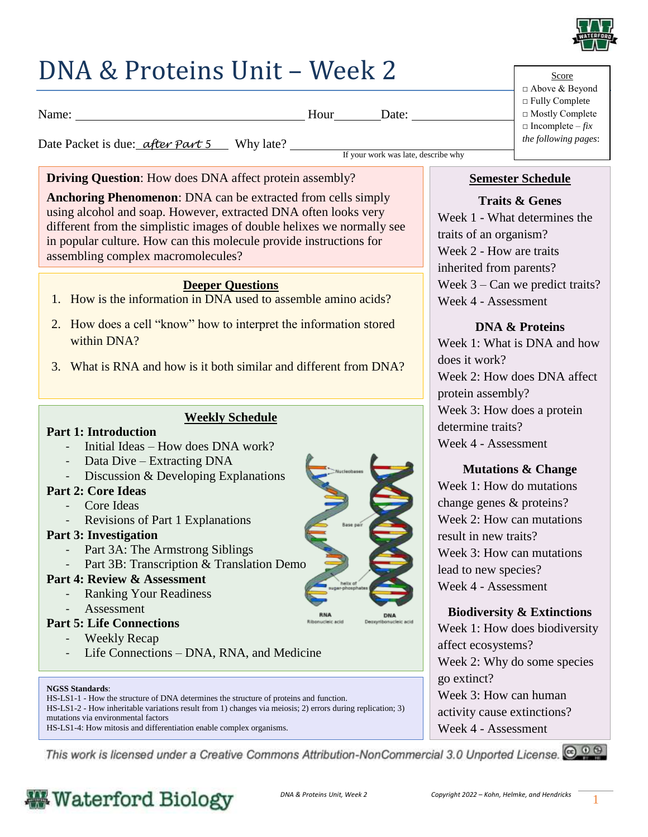

# DNA & Proteins Unit – Week 2

Name: Name: Name: Name: Name: New York: Name: Name: Name: Name: Name: Name: Name: Name: Name: Name: Name: Name: Name: Name: Name: Name: Name: Name: Name: Name: Name: Name: Name: Name: Name: Name: Name: Name: Name: Name: Na

Date Packet is due: *<u>after Part 5</u>* Why late?

If your work was late, describe why

**Driving Question**: How does DNA affect protein assembly?

**Anchoring Phenomenon**: DNA can be extracted from cells simply using alcohol and soap. However, extracted DNA often looks very different from the simplistic images of double helixes we normally see in popular culture. How can this molecule provide instructions for assembling complex macromolecules?

### **Deeper Questions**

- 1. How is the information in DNA used to assemble amino acids?
- 2. How does a cell "know" how to interpret the information stored within DNA?
- 3. What is RNA and how is it both similar and different from DNA?

### **Weekly Schedule**

### **Part 1: Introduction**

- Initial Ideas How does DNA work?
- Data Dive Extracting DNA
- Discussion & Developing Explanations

### **Part 2: Core Ideas**

- Core Ideas
- Revisions of Part 1 Explanations

### **Part 3: Investigation**

- Part 3A: The Armstrong Siblings
- Part 3B: Transcription & Translation Demo

### **Part 4: Review & Assessment**

- Ranking Your Readiness
- Assessment
- **Part 5: Life Connections**
	- Weekly Recap
	- Life Connections DNA, RNA, and Medicine

#### **NGSS Standards**:

HS-LS1-1 - How the structure of DNA determines the structure of proteins and function.

HS-LS1-2 - How inheritable variations result from 1) changes via meiosis; 2) errors during replication; 3) mutations via environmental factors

HS-LS1-4: How mitosis and differentiation enable complex organisms.

This work is licensed under a Creative Commons Attribution-NonCommercial 3.0 Unported License. @ 0 0

RNA

DNA



### **Semester Schedule**

**Traits & Genes** Week 1 - What determines the traits of an organism? Week 2 - How are traits inherited from parents? Week 3 – Can we predict traits? Week 4 - Assessment

### **DNA & Proteins**

Week 1: What is DNA and how does it work? Week 2: How does DNA affect protein assembly? Week 3: How does a protein determine traits? Week 4 - Assessment

### **Mutations & Change**

Week 1: How do mutations change genes & proteins? Week 2: How can mutations result in new traits? Week 3: How can mutations lead to new species? Week 4 - Assessment

### **Biodiversity & Extinctions**

Week 1: How does biodiversity affect ecosystems? Week 2: Why do some species go extinct? Week 3: How can human activity cause extinctions? Week 4 - Assessment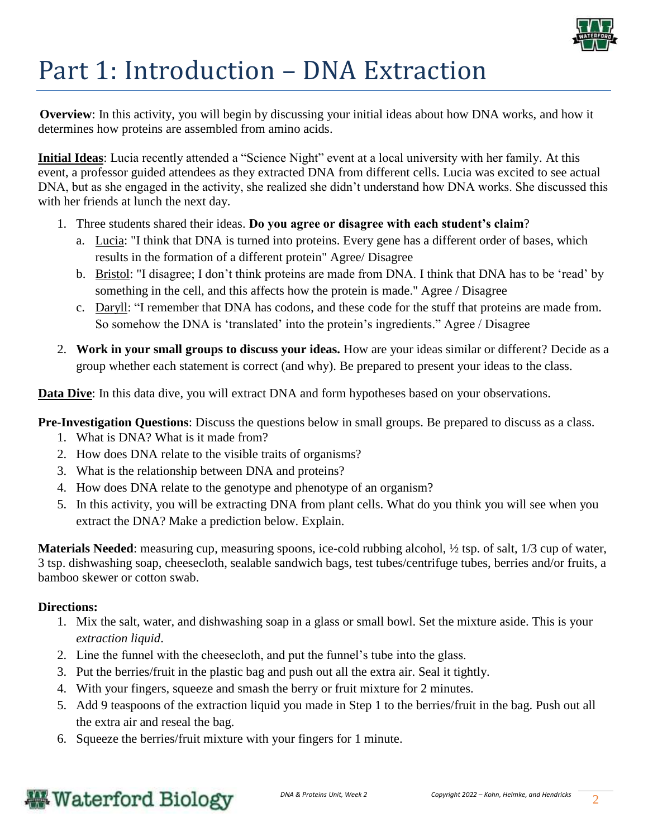

# Part 1: Introduction – DNA Extraction

**Overview**: In this activity, you will begin by discussing your initial ideas about how DNA works, and how it determines how proteins are assembled from amino acids.

**Initial Ideas**: Lucia recently attended a "Science Night" event at a local university with her family. At this event, a professor guided attendees as they extracted DNA from different cells. Lucia was excited to see actual DNA, but as she engaged in the activity, she realized she didn't understand how DNA works. She discussed this with her friends at lunch the next day.

- 1. Three students shared their ideas. **Do you agree or disagree with each student's claim**?
	- a. Lucia: "I think that DNA is turned into proteins. Every gene has a different order of bases, which results in the formation of a different protein" Agree/ Disagree
	- b. Bristol: "I disagree; I don't think proteins are made from DNA. I think that DNA has to be 'read' by something in the cell, and this affects how the protein is made." Agree / Disagree
	- c. Daryll: "I remember that DNA has codons, and these code for the stuff that proteins are made from. So somehow the DNA is 'translated' into the protein's ingredients." Agree / Disagree
- 2. **Work in your small groups to discuss your ideas.** How are your ideas similar or different? Decide as a group whether each statement is correct (and why). Be prepared to present your ideas to the class.

**Data Dive**: In this data dive, you will extract DNA and form hypotheses based on your observations.

**Pre-Investigation Questions**: Discuss the questions below in small groups. Be prepared to discuss as a class.

- 1. What is DNA? What is it made from?
- 2. How does DNA relate to the visible traits of organisms?
- 3. What is the relationship between DNA and proteins?
- 4. How does DNA relate to the genotype and phenotype of an organism?
- 5. In this activity, you will be extracting DNA from plant cells. What do you think you will see when you extract the DNA? Make a prediction below. Explain.

**Materials Needed**: measuring cup, measuring spoons, ice-cold rubbing alcohol, ½ tsp. of salt, 1/3 cup of water, 3 tsp. dishwashing soap, cheesecloth, sealable sandwich bags, test tubes/centrifuge tubes, berries and/or fruits, a bamboo skewer or cotton swab.

### **Directions:**

- 1. Mix the salt, water, and dishwashing soap in a glass or small bowl. Set the mixture aside. This is your *extraction liquid*.
- 2. Line the funnel with the cheesecloth, and put the funnel's tube into the glass.
- 3. Put the berries/fruit in the plastic bag and push out all the extra air. Seal it tightly.
- 4. With your fingers, squeeze and smash the berry or fruit mixture for 2 minutes.
- 5. Add 9 teaspoons of the extraction liquid you made in Step 1 to the berries/fruit in the bag. Push out all the extra air and reseal the bag.
- 6. Squeeze the berries/fruit mixture with your fingers for 1 minute.

### **Waterford Biology**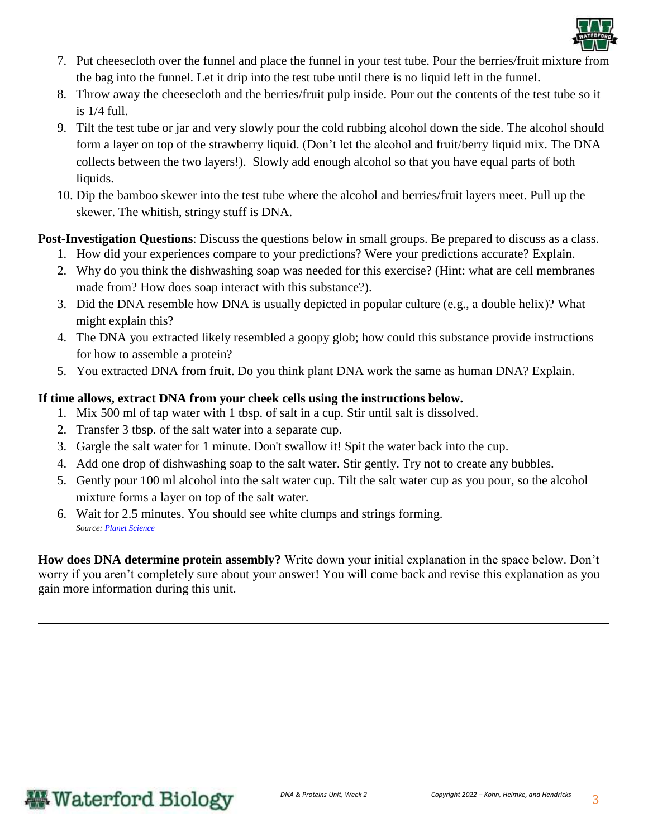

- 7. Put cheesecloth over the funnel and place the funnel in your test tube. Pour the berries/fruit mixture from the bag into the funnel. Let it drip into the test tube until there is no liquid left in the funnel.
- 8. Throw away the cheesecloth and the berries/fruit pulp inside. Pour out the contents of the test tube so it is 1/4 full.
- 9. Tilt the test tube or jar and very slowly pour the cold rubbing alcohol down the side. The alcohol should form a layer on top of the strawberry liquid. (Don't let the alcohol and fruit/berry liquid mix. The DNA collects between the two layers!). Slowly add enough alcohol so that you have equal parts of both liquids.
- 10. Dip the bamboo skewer into the test tube where the alcohol and berries/fruit layers meet. Pull up the skewer. The whitish, stringy stuff is DNA.

### **Post-Investigation Questions**: Discuss the questions below in small groups. Be prepared to discuss as a class.

- 1. How did your experiences compare to your predictions? Were your predictions accurate? Explain.
- 2. Why do you think the dishwashing soap was needed for this exercise? (Hint: what are cell membranes made from? How does soap interact with this substance?).
- 3. Did the DNA resemble how DNA is usually depicted in popular culture (e.g., a double helix)? What might explain this?
- 4. The DNA you extracted likely resembled a goopy glob; how could this substance provide instructions for how to assemble a protein?
- 5. You extracted DNA from fruit. Do you think plant DNA work the same as human DNA? Explain.

### **If time allows, extract DNA from your cheek cells using the instructions below.**

- 1. Mix 500 ml of tap water with 1 tbsp. of salt in a cup. Stir until salt is dissolved.
- 2. Transfer 3 tbsp. of the salt water into a separate cup.
- 3. Gargle the salt water for 1 minute. Don't swallow it! Spit the water back into the cup.
- 4. Add one drop of dishwashing soap to the salt water. Stir gently. Try not to create any bubbles.
- 5. Gently pour 100 ml alcohol into the salt water cup. Tilt the salt water cup as you pour, so the alcohol mixture forms a layer on top of the salt water.
- 6. Wait for 2.5 minutes. You should see white clumps and strings forming. *Source: [Planet Science](http://www.planet-science.com/categories/experiments/biology/2012/03/extract-your-own-dna.aspx)*

**How does DNA determine protein assembly?** Write down your initial explanation in the space below. Don't worry if you aren't completely sure about your answer! You will come back and revise this explanation as you gain more information during this unit.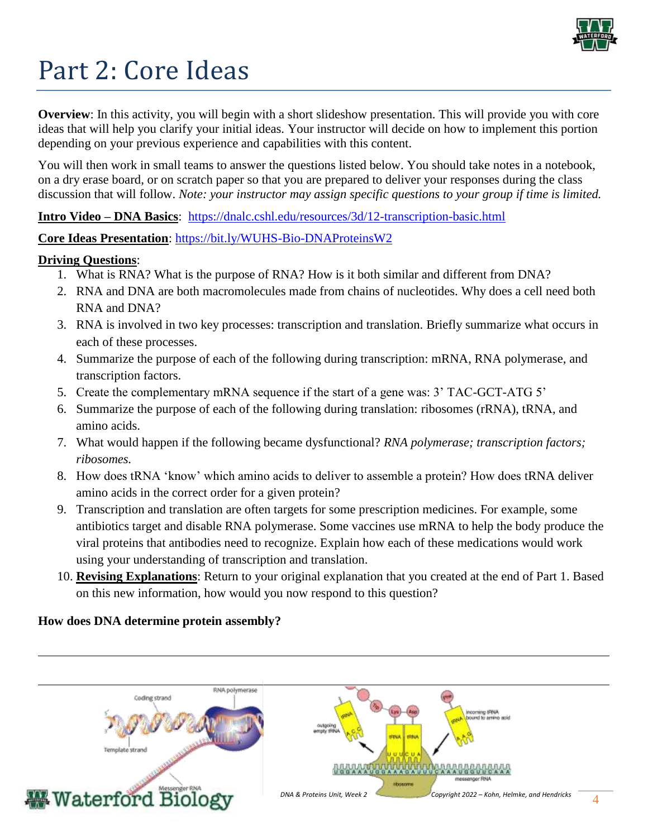

# Part 2: Core Ideas

**Overview**: In this activity, you will begin with a short slideshow presentation. This will provide you with core ideas that will help you clarify your initial ideas. Your instructor will decide on how to implement this portion depending on your previous experience and capabilities with this content.

You will then work in small teams to answer the questions listed below. You should take notes in a notebook, on a dry erase board, or on scratch paper so that you are prepared to deliver your responses during the class discussion that will follow. *Note: your instructor may assign specific questions to your group if time is limited.* 

**Intro Video – DNA Basics**: <https://dnalc.cshl.edu/resources/3d/12-transcription-basic.html>

**Core Ideas Presentation**:<https://bit.ly/WUHS-Bio-DNAProteinsW2>

### **Driving Questions**:

- 1. What is RNA? What is the purpose of RNA? How is it both similar and different from DNA?
- 2. RNA and DNA are both macromolecules made from chains of nucleotides. Why does a cell need both RNA and DNA?
- 3. RNA is involved in two key processes: transcription and translation. Briefly summarize what occurs in each of these processes.
- 4. Summarize the purpose of each of the following during transcription: mRNA, RNA polymerase, and transcription factors.
- 5. Create the complementary mRNA sequence if the start of a gene was: 3' TAC-GCT-ATG 5'
- 6. Summarize the purpose of each of the following during translation: ribosomes (rRNA), tRNA, and amino acids.
- 7. What would happen if the following became dysfunctional? *RNA polymerase; transcription factors; ribosomes.*
- 8. How does tRNA 'know' which amino acids to deliver to assemble a protein? How does tRNA deliver amino acids in the correct order for a given protein?
- 9. Transcription and translation are often targets for some prescription medicines. For example, some antibiotics target and disable RNA polymerase. Some vaccines use mRNA to help the body produce the viral proteins that antibodies need to recognize. Explain how each of these medications would work using your understanding of transcription and translation.
- 10. **Revising Explanations**: Return to your original explanation that you created at the end of Part 1. Based on this new information, how would you now respond to this question?

### **How does DNA determine protein assembly?**

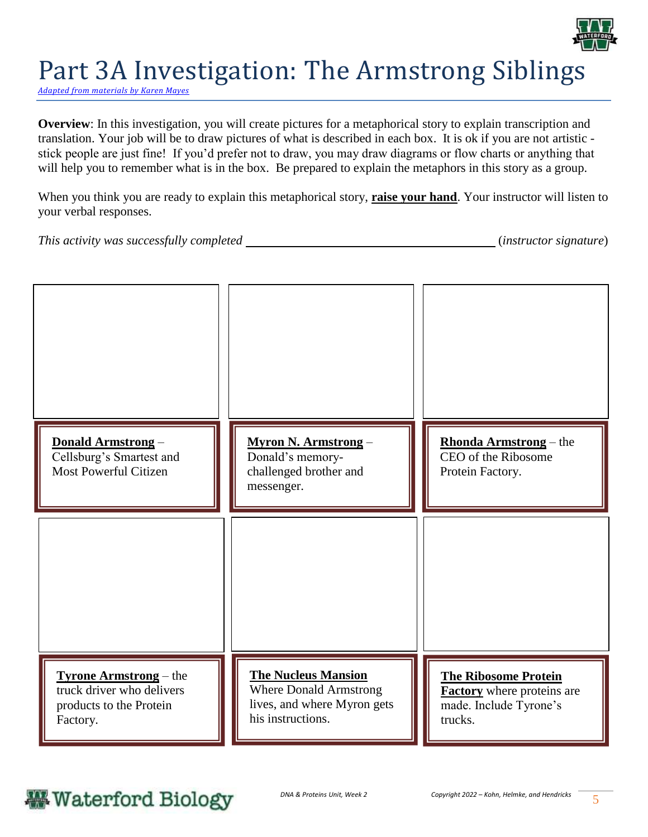

## Part 3A Investigation: The Armstrong Siblings

*[Adapted from materials by Karen Mayes](https://smithsworldofscience.weebly.com/uploads/1/0/5/5/10557615/dna_model_parts_for_your_presentation.pdf)*

**Overview**: In this investigation, you will create pictures for a metaphorical story to explain transcription and translation. Your job will be to draw pictures of what is described in each box. It is ok if you are not artistic stick people are just fine! If you'd prefer not to draw, you may draw diagrams or flow charts or anything that will help you to remember what is in the box. Be prepared to explain the metaphors in this story as a group.

When you think you are ready to explain this metaphorical story, **raise your hand**. Your instructor will listen to your verbal responses.

*This activity was successfully completed* (*instructor signature*)

| Donald Armstrong-<br>Cellsburg's Smartest and<br><b>Most Powerful Citizen</b>                     | <b>Myron N. Armstrong –</b><br>Donald's memory-<br>challenged brother and<br>messenger.                         | <b>Rhonda Armstrong</b> – the<br>CEO of the Ribosome<br>Protein Factory.                              |
|---------------------------------------------------------------------------------------------------|-----------------------------------------------------------------------------------------------------------------|-------------------------------------------------------------------------------------------------------|
|                                                                                                   |                                                                                                                 |                                                                                                       |
|                                                                                                   |                                                                                                                 |                                                                                                       |
| <b>Tyrone Armstrong</b> – the<br>truck driver who delivers<br>products to the Protein<br>Factory. | <b>The Nucleus Mansion</b><br><b>Where Donald Armstrong</b><br>lives, and where Myron gets<br>his instructions. | <b>The Ribosome Protein</b><br><b>Factory</b> where proteins are<br>made. Include Tyrone's<br>trucks. |

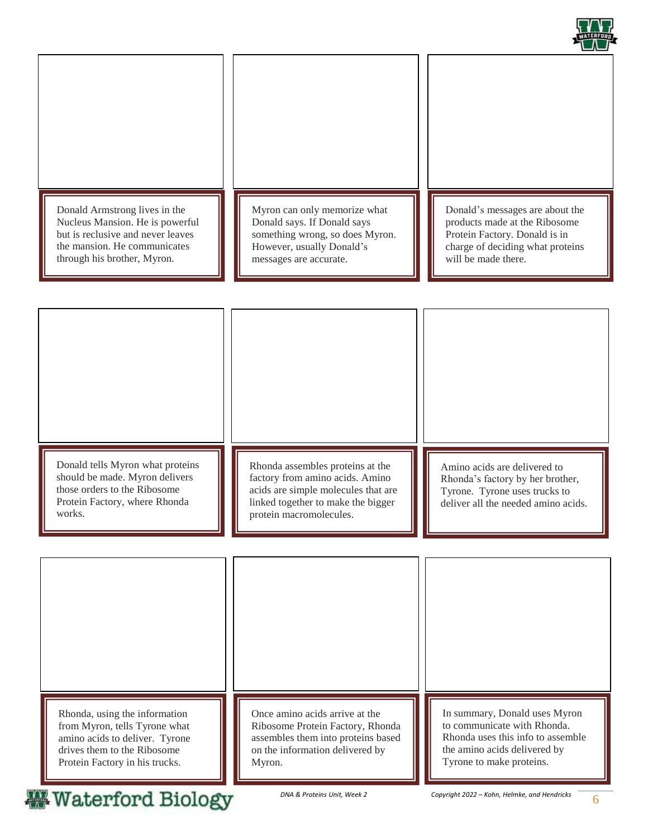

| Donald Armstrong lives in the                                                                                                                 | Myron can only memorize what                                                                                                                                                | Donald's messages are about the                                                                                                          |
|-----------------------------------------------------------------------------------------------------------------------------------------------|-----------------------------------------------------------------------------------------------------------------------------------------------------------------------------|------------------------------------------------------------------------------------------------------------------------------------------|
| Nucleus Mansion. He is powerful                                                                                                               | Donald says. If Donald says                                                                                                                                                 | products made at the Ribosome                                                                                                            |
| but is reclusive and never leaves                                                                                                             | something wrong, so does Myron.                                                                                                                                             | Protein Factory. Donald is in                                                                                                            |
| the mansion. He communicates                                                                                                                  | However, usually Donald's                                                                                                                                                   | charge of deciding what proteins                                                                                                         |
| through his brother, Myron.                                                                                                                   | messages are accurate.                                                                                                                                                      | will be made there.                                                                                                                      |
| Donald tells Myron what proteins<br>should be made. Myron delivers<br>those orders to the Ribosome<br>Protein Factory, where Rhonda<br>works. | Rhonda assembles proteins at the<br>factory from amino acids. Amino<br>acids are simple molecules that are<br>linked together to make the bigger<br>protein macromolecules. | Amino acids are delivered to<br>Rhonda's factory by her brother,<br>Tyrone. Tyrone uses trucks to<br>deliver all the needed amino acids. |
| Rhonda, using the information                                                                                                                 | Once amino acids arrive at the                                                                                                                                              | In summary, Donald uses Myron                                                                                                            |
| from Myron, tells Tyrone what                                                                                                                 | Ribosome Protein Factory, Rhonda                                                                                                                                            | to communicate with Rhonda.                                                                                                              |
| amino acids to deliver. Tyrone                                                                                                                | assembles them into proteins based                                                                                                                                          | Rhonda uses this info to assemble                                                                                                        |
| drives them to the Ribosome                                                                                                                   | on the information delivered by                                                                                                                                             | the amino acids delivered by                                                                                                             |
| Protein Factory in his trucks.                                                                                                                | Myron.                                                                                                                                                                      | Tyrone to make proteins.                                                                                                                 |
| <b>Waterford Biology</b>                                                                                                                      | DNA & Proteins Unit, Week 2                                                                                                                                                 | Copyright 2022 - Kohn, Helmke, and Hendricks                                                                                             |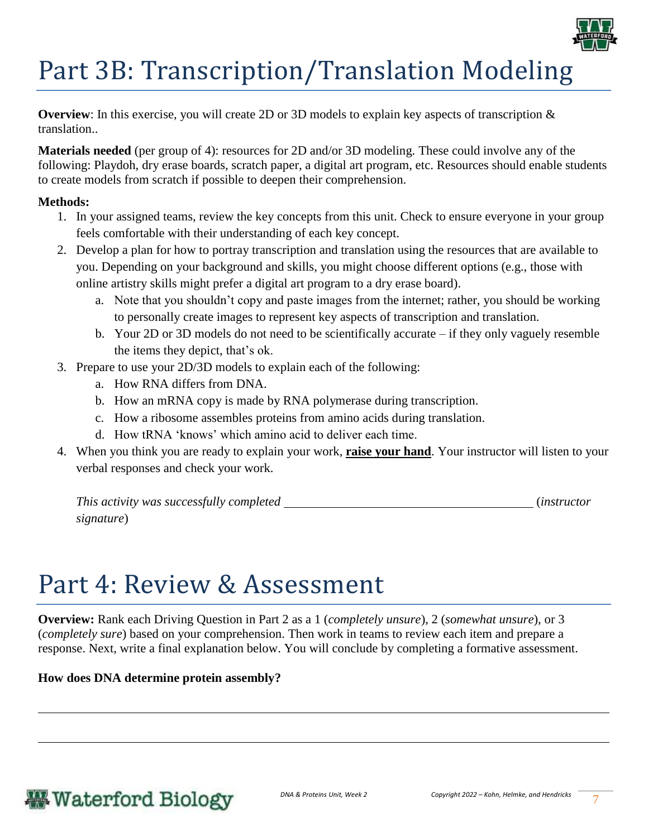

# Part 3B: Transcription/Translation Modeling

**Overview**: In this exercise, you will create 2D or 3D models to explain key aspects of transcription  $\&$ translation..

**Materials needed** (per group of 4): resources for 2D and/or 3D modeling. These could involve any of the following: Playdoh, dry erase boards, scratch paper, a digital art program, etc. Resources should enable students to create models from scratch if possible to deepen their comprehension.

### **Methods:**

- 1. In your assigned teams, review the key concepts from this unit. Check to ensure everyone in your group feels comfortable with their understanding of each key concept.
- 2. Develop a plan for how to portray transcription and translation using the resources that are available to you. Depending on your background and skills, you might choose different options (e.g., those with online artistry skills might prefer a digital art program to a dry erase board).
	- a. Note that you shouldn't copy and paste images from the internet; rather, you should be working to personally create images to represent key aspects of transcription and translation.
	- b. Your 2D or 3D models do not need to be scientifically accurate if they only vaguely resemble the items they depict, that's ok.
- 3. Prepare to use your 2D/3D models to explain each of the following:
	- a. How RNA differs from DNA.
	- b. How an mRNA copy is made by RNA polymerase during transcription.
	- c. How a ribosome assembles proteins from amino acids during translation.
	- d. How tRNA 'knows' which amino acid to deliver each time.
- 4. When you think you are ready to explain your work, **raise your hand**. Your instructor will listen to your verbal responses and check your work.

*This activity was successfully completed* (*instructor signature*)

## Part 4: Review & Assessment

**Overview:** Rank each Driving Question in Part 2 as a 1 (*completely unsure*), 2 (*somewhat unsure*), or 3 (*completely sure*) based on your comprehension. Then work in teams to review each item and prepare a response. Next, write a final explanation below. You will conclude by completing a formative assessment.

### **How does DNA determine protein assembly?**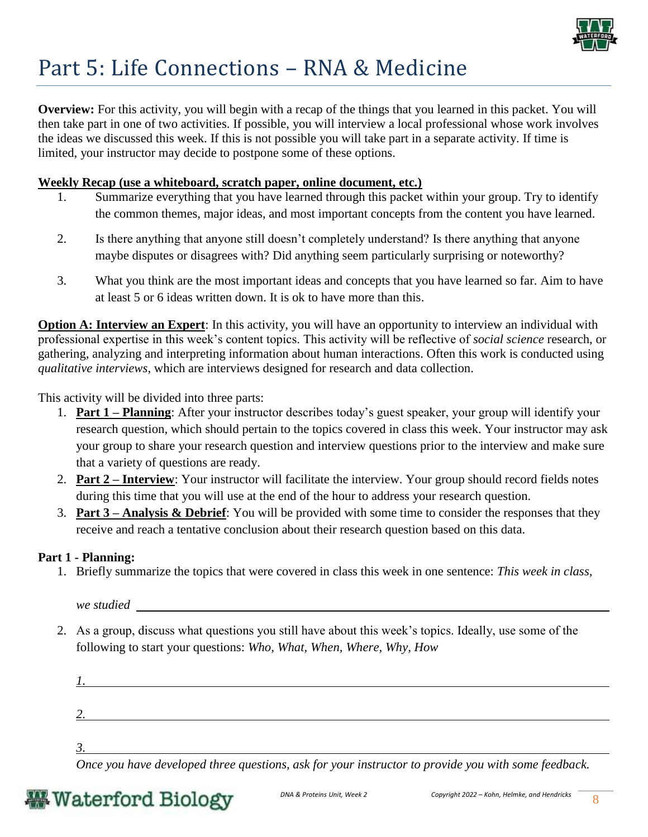

## Part 5: Life Connections – RNA & Medicine

**Overview:** For this activity, you will begin with a recap of the things that you learned in this packet. You will then take part in one of two activities. If possible, you will interview a local professional whose work involves the ideas we discussed this week. If this is not possible you will take part in a separate activity. If time is limited, your instructor may decide to postpone some of these options.

### **Weekly Recap (use a whiteboard, scratch paper, online document, etc.)**

- 1. Summarize everything that you have learned through this packet within your group. Try to identify the common themes, major ideas, and most important concepts from the content you have learned.
- 2. Is there anything that anyone still doesn't completely understand? Is there anything that anyone maybe disputes or disagrees with? Did anything seem particularly surprising or noteworthy?
- 3. What you think are the most important ideas and concepts that you have learned so far. Aim to have at least 5 or 6 ideas written down. It is ok to have more than this.

**Option A: Interview an Expert**: In this activity, you will have an opportunity to interview an individual with professional expertise in this week's content topics. This activity will be reflective of *social science* research, or gathering, analyzing and interpreting information about human interactions. Often this work is conducted using *qualitative interviews*, which are interviews designed for research and data collection.

This activity will be divided into three parts:

- 1. **Part 1 – Planning**: After your instructor describes today's guest speaker, your group will identify your research question, which should pertain to the topics covered in class this week. Your instructor may ask your group to share your research question and interview questions prior to the interview and make sure that a variety of questions are ready.
- 2. **Part 2 – Interview**: Your instructor will facilitate the interview. Your group should record fields notes during this time that you will use at the end of the hour to address your research question.
- 3. **Part 3 – Analysis & Debrief**: You will be provided with some time to consider the responses that they receive and reach a tentative conclusion about their research question based on this data.

### **Part 1 - Planning:**

1. Briefly summarize the topics that were covered in class this week in one sentence: *This week in class,* 

*we studied* 

- 2. As a group, discuss what questions you still have about this week's topics. Ideally, use some of the following to start your questions: *Who, What, When, Where, Why, How*
	- *1. 2. 3.*

*Once you have developed three questions, ask for your instructor to provide you with some feedback.*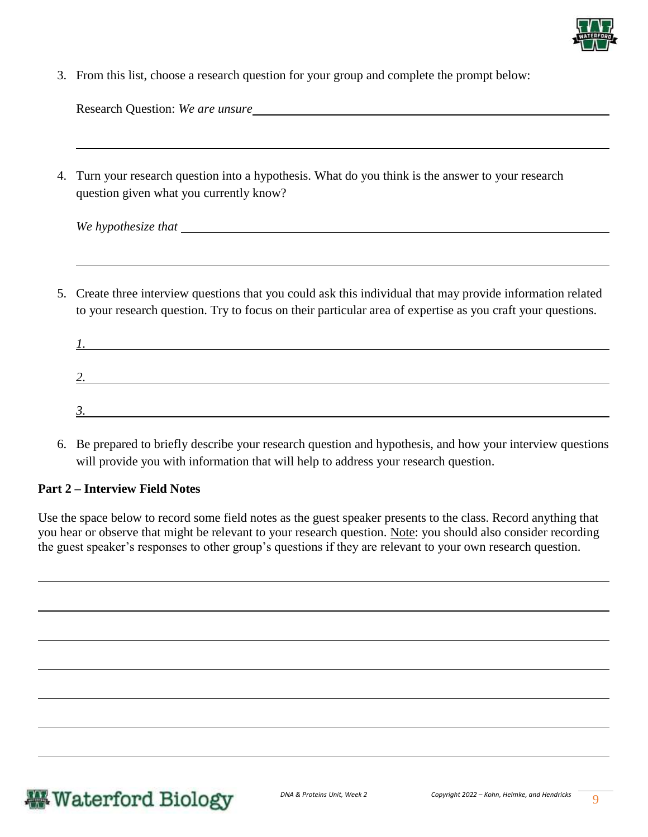

3. From this list, choose a research question for your group and complete the prompt below:

| Research Question: We are unsure |  |  |  |
|----------------------------------|--|--|--|
|----------------------------------|--|--|--|

4. Turn your research question into a hypothesis. What do you think is the answer to your research question given what you currently know?

*We hypothesize that* 

5. Create three interview questions that you could ask this individual that may provide information related to your research question. Try to focus on their particular area of expertise as you craft your questions.

| ∼<br>ـ ت |  |  |
|----------|--|--|
|          |  |  |
| ╭<br>ັ.  |  |  |

6. Be prepared to briefly describe your research question and hypothesis, and how your interview questions will provide you with information that will help to address your research question.

### **Part 2 – Interview Field Notes**

Use the space below to record some field notes as the guest speaker presents to the class. Record anything that you hear or observe that might be relevant to your research question. Note: you should also consider recording the guest speaker's responses to other group's questions if they are relevant to your own research question.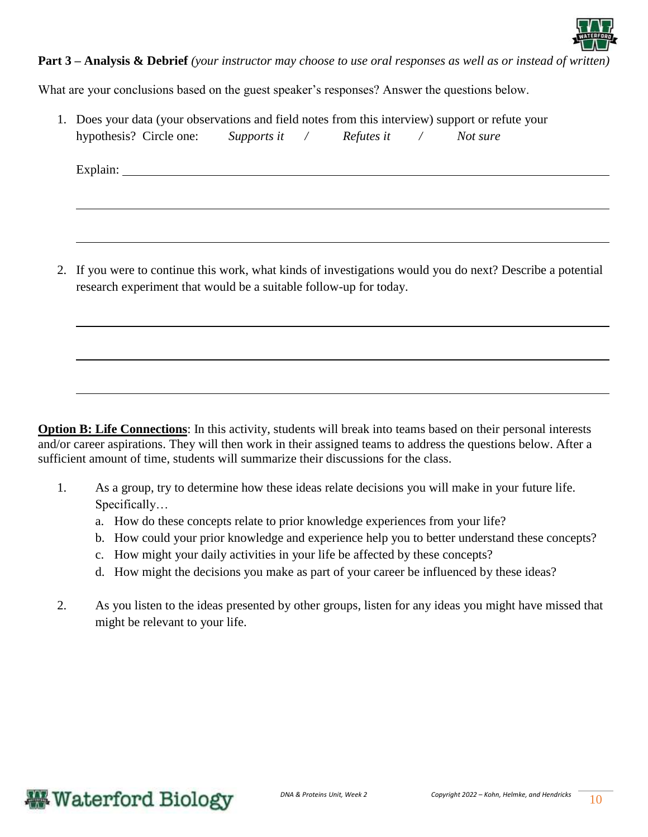

#### **Part 3 – Analysis & Debrief** *(your instructor may choose to use oral responses as well as or instead of written)*

What are your conclusions based on the guest speaker's responses? Answer the questions below.

1. Does your data (your observations and field notes from this interview) support or refute your hypothesis? Circle one: *Supports it / Refutes it / Not sure* 

Explain:

2. If you were to continue this work, what kinds of investigations would you do next? Describe a potential research experiment that would be a suitable follow-up for today.

**Option B: Life Connections**: In this activity, students will break into teams based on their personal interests and/or career aspirations. They will then work in their assigned teams to address the questions below. After a sufficient amount of time, students will summarize their discussions for the class.

- 1. As a group, try to determine how these ideas relate decisions you will make in your future life. Specifically…
	- a. How do these concepts relate to prior knowledge experiences from your life?
	- b. How could your prior knowledge and experience help you to better understand these concepts?
	- c. How might your daily activities in your life be affected by these concepts?
	- d. How might the decisions you make as part of your career be influenced by these ideas?
- 2. As you listen to the ideas presented by other groups, listen for any ideas you might have missed that might be relevant to your life.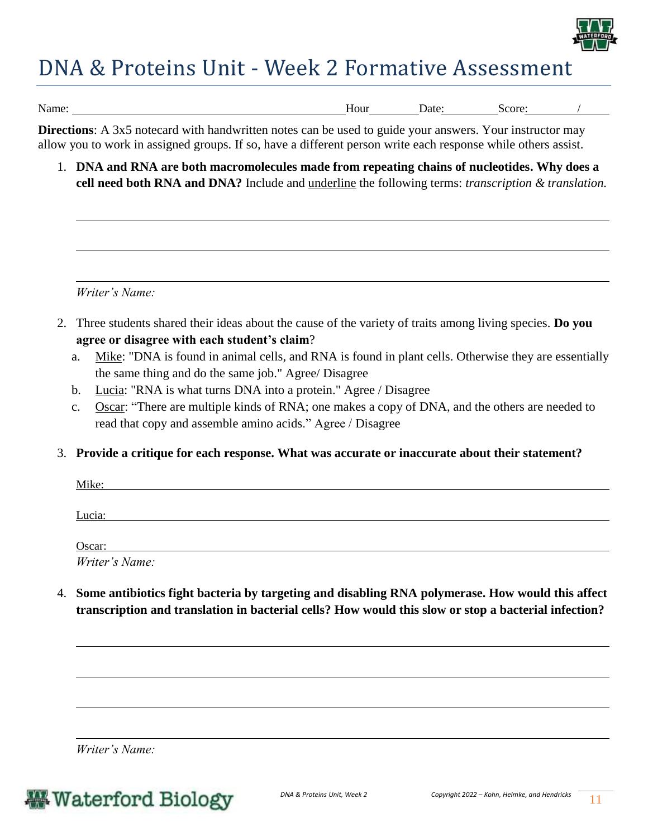

## DNA & Proteins Unit - Week 2 Formative Assessment

Name: Score: Mour Date: Score: //

**Directions**: A 3x5 notecard with handwritten notes can be used to guide your answers. Your instructor may allow you to work in assigned groups. If so, have a different person write each response while others assist.

1. **DNA and RNA are both macromolecules made from repeating chains of nucleotides. Why does a cell need both RNA and DNA?** Include and underline the following terms: *transcription & translation.*

*Writer's Name:* 

- 2. Three students shared their ideas about the cause of the variety of traits among living species. **Do you agree or disagree with each student's claim**?
	- a. Mike: "DNA is found in animal cells, and RNA is found in plant cells. Otherwise they are essentially the same thing and do the same job." Agree/ Disagree
	- b. Lucia: "RNA is what turns DNA into a protein." Agree / Disagree
	- c. Oscar: "There are multiple kinds of RNA; one makes a copy of DNA, and the others are needed to read that copy and assemble amino acids." Agree / Disagree
- 3. **Provide a critique for each response. What was accurate or inaccurate about their statement?**

| Mike:  |  |  |
|--------|--|--|
|        |  |  |
| Lucia: |  |  |
|        |  |  |
| Oscar: |  |  |

*Writer's Name:* 

4. **Some antibiotics fight bacteria by targeting and disabling RNA polymerase. How would this affect transcription and translation in bacterial cells? How would this slow or stop a bacterial infection?**

*Writer's Name:*